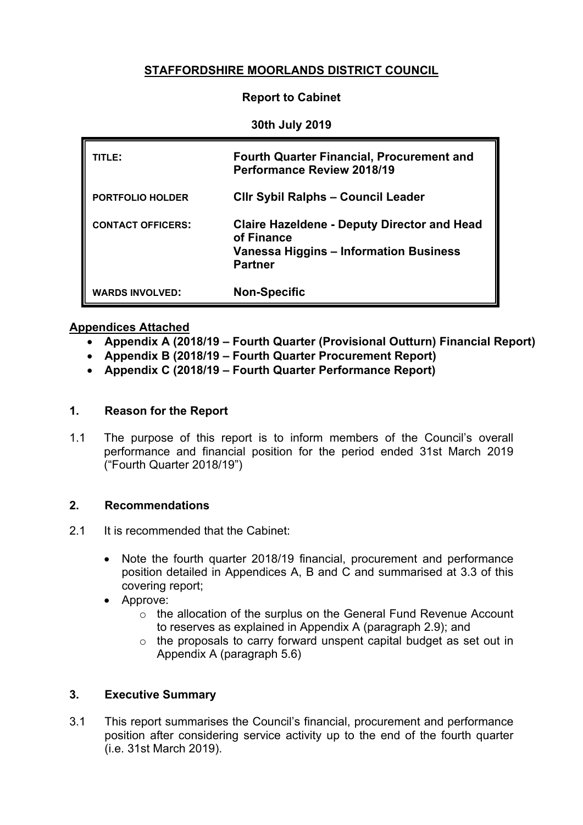# **STAFFORDSHIRE MOORLANDS DISTRICT COUNCIL**

### **Report to Cabinet**

#### **30th July 2019**

| TITLE:                   | <b>Fourth Quarter Financial, Procurement and</b><br><b>Performance Review 2018/19</b>                                        |
|--------------------------|------------------------------------------------------------------------------------------------------------------------------|
| <b>PORTFOLIO HOLDER</b>  | <b>CIIr Sybil Ralphs - Council Leader</b>                                                                                    |
| <b>CONTACT OFFICERS:</b> | <b>Claire Hazeldene - Deputy Director and Head</b><br>of Finance<br>Vanessa Higgins - Information Business<br><b>Partner</b> |
| <b>WARDS INVOLVED:</b>   | <b>Non-Specific</b>                                                                                                          |

#### **Appendices Attached**

- **Appendix A (2018/19 – Fourth Quarter (Provisional Outturn) Financial Report)**
- **Appendix B (2018/19 – Fourth Quarter Procurement Report)**
- **Appendix C (2018/19 – Fourth Quarter Performance Report)**

### **1. Reason for the Report**

1.1 The purpose of this report is to inform members of the Council's overall performance and financial position for the period ended 31st March 2019 ("Fourth Quarter 2018/19")

# **2. Recommendations**

- 2.1 It is recommended that the Cabinet:
	- Note the fourth quarter 2018/19 financial, procurement and performance position detailed in Appendices A, B and C and summarised at 3.3 of this covering report;
	- Approve:
		- o the allocation of the surplus on the General Fund Revenue Account to reserves as explained in Appendix A (paragraph 2.9); and
		- o the proposals to carry forward unspent capital budget as set out in Appendix A (paragraph 5.6)

# **3. Executive Summary**

3.1 This report summarises the Council's financial, procurement and performance position after considering service activity up to the end of the fourth quarter (i.e. 31st March 2019).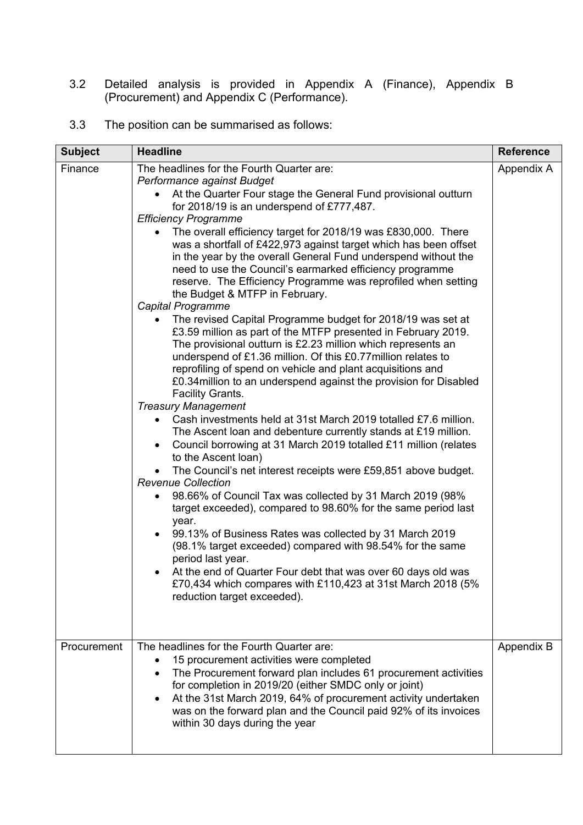3.2 Detailed analysis is provided in Appendix A (Finance), Appendix B (Procurement) and Appendix C (Performance).

# 3.3 The position can be summarised as follows:

| <b>Subject</b> | <b>Headline</b>                                                                                                                                                                                                                                                                                                                                                                                                                                                                                                                                                                                                                                                                                                                                                                                                                                                                                                                                                                                                                                                                                                                                                                                                                                                                                                                                                                                                                                                                                                                                                                                                                                                                                                                                                                                                                                              | <b>Reference</b> |
|----------------|--------------------------------------------------------------------------------------------------------------------------------------------------------------------------------------------------------------------------------------------------------------------------------------------------------------------------------------------------------------------------------------------------------------------------------------------------------------------------------------------------------------------------------------------------------------------------------------------------------------------------------------------------------------------------------------------------------------------------------------------------------------------------------------------------------------------------------------------------------------------------------------------------------------------------------------------------------------------------------------------------------------------------------------------------------------------------------------------------------------------------------------------------------------------------------------------------------------------------------------------------------------------------------------------------------------------------------------------------------------------------------------------------------------------------------------------------------------------------------------------------------------------------------------------------------------------------------------------------------------------------------------------------------------------------------------------------------------------------------------------------------------------------------------------------------------------------------------------------------------|------------------|
| Finance        | The headlines for the Fourth Quarter are:<br>Performance against Budget<br>At the Quarter Four stage the General Fund provisional outturn<br>for 2018/19 is an underspend of £777,487.<br><b>Efficiency Programme</b><br>The overall efficiency target for 2018/19 was £830,000. There<br>was a shortfall of £422,973 against target which has been offset<br>in the year by the overall General Fund underspend without the<br>need to use the Council's earmarked efficiency programme<br>reserve. The Efficiency Programme was reprofiled when setting<br>the Budget & MTFP in February.<br>Capital Programme<br>The revised Capital Programme budget for 2018/19 was set at<br>£3.59 million as part of the MTFP presented in February 2019.<br>The provisional outturn is £2.23 million which represents an<br>underspend of £1.36 million. Of this £0.77 million relates to<br>reprofiling of spend on vehicle and plant acquisitions and<br>£0.34 million to an underspend against the provision for Disabled<br>Facility Grants.<br><b>Treasury Management</b><br>• Cash investments held at 31st March 2019 totalled £7.6 million.<br>The Ascent loan and debenture currently stands at £19 million.<br>Council borrowing at 31 March 2019 totalled £11 million (relates<br>to the Ascent loan)<br>The Council's net interest receipts were £59,851 above budget.<br><b>Revenue Collection</b><br>98.66% of Council Tax was collected by 31 March 2019 (98%<br>target exceeded), compared to 98.60% for the same period last<br>year.<br>99.13% of Business Rates was collected by 31 March 2019<br>(98.1% target exceeded) compared with 98.54% for the same<br>period last year.<br>• At the end of Quarter Four debt that was over 60 days old was<br>£70,434 which compares with £110,423 at 31st March 2018 (5%<br>reduction target exceeded). | Appendix A       |
| Procurement    | The headlines for the Fourth Quarter are:<br>15 procurement activities were completed<br>The Procurement forward plan includes 61 procurement activities<br>$\bullet$<br>for completion in 2019/20 (either SMDC only or joint)<br>At the 31st March 2019, 64% of procurement activity undertaken<br>was on the forward plan and the Council paid 92% of its invoices<br>within 30 days during the year                                                                                                                                                                                                                                                                                                                                                                                                                                                                                                                                                                                                                                                                                                                                                                                                                                                                                                                                                                                                                                                                                                                                                                                                                                                                                                                                                                                                                                                       | Appendix B       |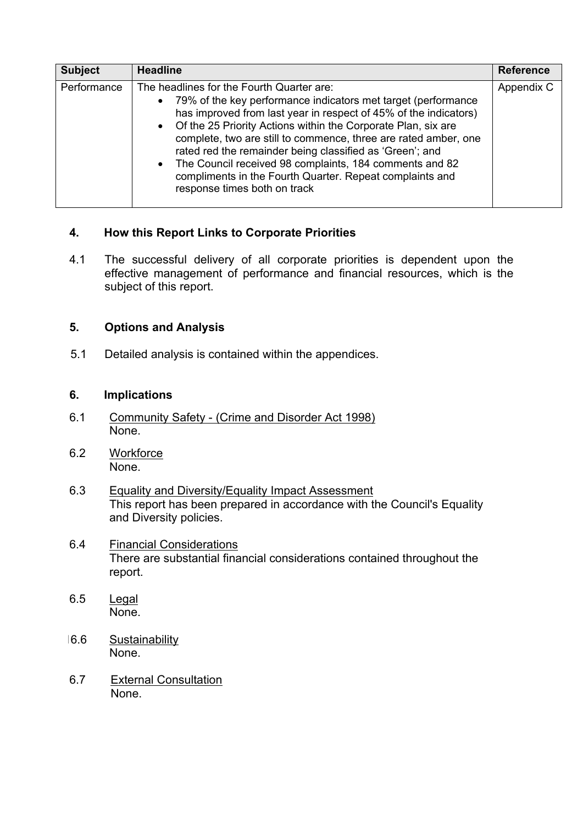| <b>Subject</b> | <b>Headline</b>                                                                                                                                                                                                                                                                                                                                                                                                                                                                                                                             | <b>Reference</b> |
|----------------|---------------------------------------------------------------------------------------------------------------------------------------------------------------------------------------------------------------------------------------------------------------------------------------------------------------------------------------------------------------------------------------------------------------------------------------------------------------------------------------------------------------------------------------------|------------------|
| Performance    | The headlines for the Fourth Quarter are:<br>• 79% of the key performance indicators met target (performance<br>has improved from last year in respect of 45% of the indicators)<br>• Of the 25 Priority Actions within the Corporate Plan, six are<br>complete, two are still to commence, three are rated amber, one<br>rated red the remainder being classified as 'Green'; and<br>• The Council received 98 complaints, 184 comments and 82<br>compliments in the Fourth Quarter. Repeat complaints and<br>response times both on track | Appendix C       |

# **4. How this Report Links to Corporate Priorities**

4.1 The successful delivery of all corporate priorities is dependent upon the effective management of performance and financial resources, which is the subject of this report.

# **5. Options and Analysis**

5.1 Detailed analysis is contained within the appendices.

### **6. Implications**

- 6.1 Community Safety (Crime and Disorder Act 1998) None.
- 6.2 Workforce None.
- 6.3 Equality and Diversity/Equality Impact Assessment This report has been prepared in accordance with the Council's Equality and Diversity policies.
- 6.4 Financial Considerations There are substantial financial considerations contained throughout the report.
- 6.5 Legal None.
- 16.6 Sustainability None.
- 6.7 External Consultation None.